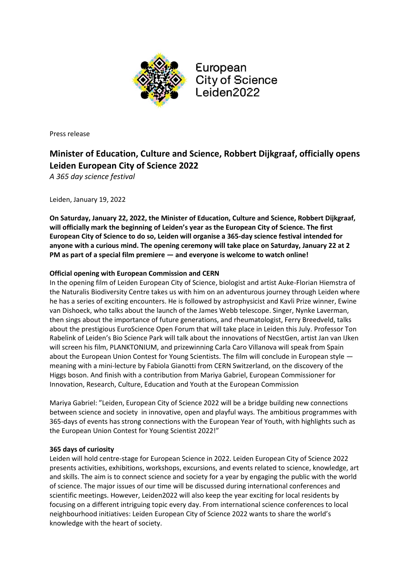

European **City of Science** Leiden2022

Press release

# **Minister of Education, Culture and Science, Robbert Dijkgraaf, officially opens Leiden European City of Science 2022**

*A 365 day science festival*

Leiden, January 19, 2022

**On Saturday, January 22, 2022, the Minister of Education, Culture and Science, Robbert Dijkgraaf, will officially mark the beginning of Leiden's year as the European City of Science. The first European City of Science to do so, Leiden will organise a 365-day science festival intended for anyone with a curious mind. The opening ceremony will take place on Saturday, January 22 at 2 PM as part of a special film premiere — and everyone is welcome to watch online!** 

## **Official opening with European Commission and CERN**

In the opening film of Leiden European City of Science, biologist and artist Auke-Florian Hiemstra of the Naturalis Biodiversity Centre takes us with him on an adventurous journey through Leiden where he has a series of exciting encounters. He is followed by astrophysicist and Kavli Prize winner, Ewine van Dishoeck, who talks about the launch of the James Webb telescope. Singer, Nynke Laverman, then sings about the importance of future generations, and rheumatologist, Ferry Breedveld, talks about the prestigious EuroScience Open Forum that will take place in Leiden this July. Professor Ton Rabelink of Leiden's Bio Science Park will talk about the innovations of NecstGen, artist Jan van IJken will screen his film, PLANKTONIUM, and prizewinning Carla Caro Villanova will speak from Spain about the European Union Contest for Young Scientists. The film will conclude in European style meaning with a mini-lecture by Fabiola Gianotti from CERN Switzerland, on the discovery of the Higgs boson. And finish with a contribution from Mariya Gabriel, European Commissioner for Innovation, Research, Culture, Education and Youth at the European Commission

Mariya Gabriel: "Leiden, European City of Science 2022 will be a bridge building new connections between science and society in innovative, open and playful ways. The ambitious programmes with 365-days of events has strong connections with the European Year of Youth, with highlights such as the European Union Contest for Young Scientist 2022!"

## **365 days of curiosity**

Leiden will hold centre-stage for European Science in 2022. Leiden European City of Science 2022 presents activities, exhibitions, workshops, excursions, and events related to science, knowledge, art and skills. The aim is to connect science and society for a year by engaging the public with the world of science. The major issues of our time will be discussed during international conferences and scientific meetings. However, Leiden2022 will also keep the year exciting for local residents by focusing on a different intriguing topic every day. From international science conferences to local neighbourhood initiatives: Leiden European City of Science 2022 wants to share the world's knowledge with the heart of society.